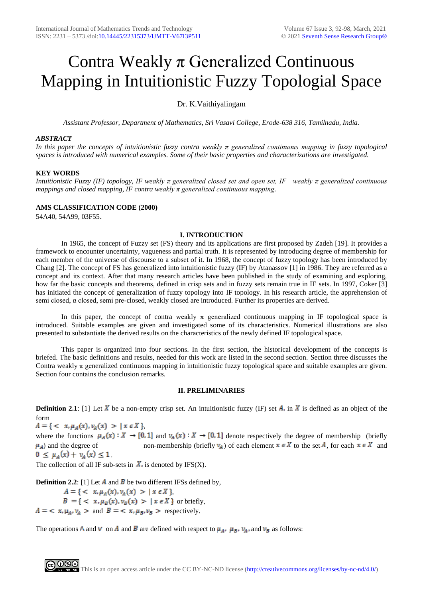# Contra Weakly  $\pi$  Generalized Continuous Mapping in Intuitionistic Fuzzy Topologial Space

## Dr. K.Vaithiyalingam

*Assistant Professor, Department of Mathematics, Sri Vasavi College, Erode-638 316, Tamilnadu, India.*

### *ABSTRACT*

*In this paper the concepts of intuitionistic fuzzy contra weakly π generalized continuous mapping in fuzzy topological spaces is introduced with numerical examples. Some of their basic properties and characterizations are investigated.*

## **KEY WORDS**

*Intuitionistic Fuzzy (IF) topology, IF weakly π generalized closed set and open set, IF weakly π generalized continuous mappings and closed mapping, IF contra weakly π generalized continuous mapping.*

### **AMS CLASSIFICATION CODE (2000)**

54A40, 54A99, 03F55.

### **I. INTRODUCTION**

In 1965, the concept of Fuzzy set (FS) theory and its applications are first proposed by Zadeh [19]. It provides a framework to encounter uncertainty, vagueness and partial truth. It is represented by introducing degree of membership for each member of the universe of discourse to a subset of it. In 1968, the concept of fuzzy topology has been introduced by Chang [2]. The concept of FS has generalized into intuitionistic fuzzy (IF) by Atanassov [1] in 1986. They are referred as a concept and its context. After that many research articles have been published in the study of examining and exploring, how far the basic concepts and theorems, defined in crisp sets and in fuzzy sets remain true in IF sets. In 1997, Coker [3] has initiated the concept of generalization of fuzzy topology into IF topology. In his research article, the apprehension of semi closed, α closed, semi pre-closed, weakly closed are introduced. Further its properties are derived.

In this paper, the concept of contra weakly  $\pi$  generalized continuous mapping in IF topological space is introduced. Suitable examples are given and investigated some of its characteristics. Numerical illustrations are also presented to substantiate the derived results on the characteristics of the newly defined IF topological space.

This paper is organized into four sections. In the first section, the historical development of the concepts is briefed. The basic definitions and results, needed for this work are listed in the second section. Section three discusses the Contra weakly  $\pi$  generalized continuous mapping in intuitionistic fuzzy topological space and suitable examples are given. Section four contains the conclusion remarks.

## **II. PRELIMINARIES**

**Definition 2.1**: [1] Let X be a non-empty crisp set. An intuitionistic fuzzy (IF) set A, in X is defined as an object of the form

 $A = \{ \langle x, \mu_A(x), \nu_A(x) \rangle | x \in X \}$ 

where the functions  $\mu_A(x): X \to [0,1]$  and  $\nu_A(x): X \to [0,1]$  denote respectively the degree of membership (briefly  $\mu_A$ ) and the degree of non-membership (briefly  $\nu_A$ ) of each element  $x \in X$  to the set A, for each  $x \in X$  and  $0 \leq \mu_A(x) + \nu_A(x) \leq 1$ 

The collection of all IF sub-sets in  $\overline{X}$ , is denoted by IFS(X).

**Definition 2.2**: [1] Let  $\vec{A}$  and  $\vec{B}$  be two different IFSs defined by,

 $A = \{ \langle x, \mu_A(x), \nu_A(x) \rangle | x \in X \},\$  $B = \{ \langle x, \mu_B(x), \nu_B(x) \rangle | x \in X \}$  or briefly,  $A = \langle x, \mu_A, \nu_A \rangle$  and  $B = \langle x, \mu_B, \nu_B \rangle$  respectively.

The operations  $\Lambda$  and  $V$  on  $\Lambda$  and  $\overline{B}$  are defined with respect to  $\mu_A$ ,  $\mu_B$ ,  $\nu_A$ , and  $\nu_B$  as follows: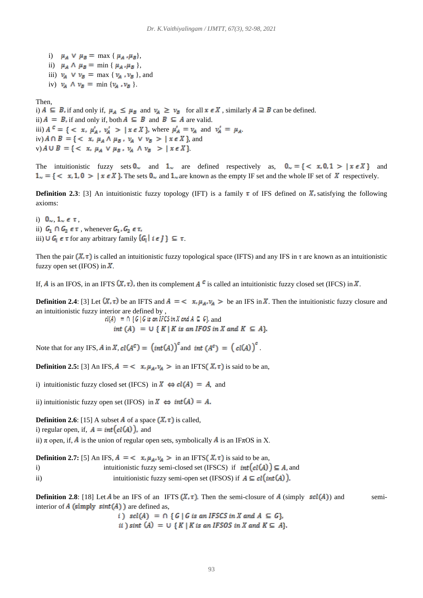i)  $\mu_A \vee \mu_B = \max \{ \mu_A, \mu_B \},\$ ii)  $\mu_A \wedge \mu_B = \min \{ \mu_A, \mu_B \},$ iii)  $v_A \vee v_B = \max \{ v_A, v_B \}$ , and iv)  $v_A \wedge v_B = \min \{ v_A, v_B \}.$ 

Then,

i)  $A \subseteq B$ , if and only if,  $\mu_A \leq \mu_B$  and  $\nu_A \geq \nu_B$  for all  $x \in X$ , similarly  $A \supseteq B$  can be defined. ii)  $A = B$ , if and only if, both  $A \subseteq B$  and  $B \subseteq A$  are valid. iii)  $A^c = \{ \langle x, \mu'_A, \nu'_A \rangle \mid x \in X \}$ , where  $\mu'_A = \nu_A$  and  $\nu'_A = \mu_A$ . iv)  $A \cap B = \{ \langle x, \mu_A \wedge \mu_B, \nu_A \vee \nu_B \rangle \mid x \in X \}$ , and v)  $A \cup B = \{ \langle x, \mu_A \vee \mu_B, \nu_A \wedge \nu_B \rangle > | x \in X \}$ 

The intuitionistic fuzzy sets  $0_{\infty}$  and  $1_{\infty}$  are defined respectively as,  $0_{\infty} = \{ \langle x, 0, 1 \rangle | x \in X \}$  and  $1_{\infty} = \{ \langle x, 1, 0 \rangle \mid x \in X \}$ . The sets  $0_{\infty}$  and  $1_{\infty}$  are known as the empty IF set and the whole IF set of X respectively.

**Definition 2.3**: [3] An intuitionistic fuzzy topology (IFT) is a family  $\tau$  of IFS defined on  $\vec{X}$ , satisfying the following axioms:

i)  $0_{\infty}$ ,  $1_{\infty} \in \tau$ , ii)  $G_1 \cap G_2 \in \tau$ , whenever  $G_1, G_2 \in \tau$ , iii)  $\cup G_i \in \tau$  for any arbitrary family  $\{G_i \mid i \in J\} \subseteq \tau$ .

Then the pair  $(X, \tau)$  is called an intuitionistic fuzzy topological space (IFTS) and any IFS in  $\tau$  are known as an intuitionistic fuzzy open set (IFOS) in  $\overline{X}$ .

If, A is an IFOS, in an IFTS  $(X, \tau)$ , then its complement A <sup>c</sup> is called an intuitionistic fuzzy closed set (IFCS) in X.

**Definition 2.4**: [3] Let  $(X, \tau)$  be an IFTS and  $A = \langle x, \mu_A, \nu_A \rangle$  be an IFS in X. Then the intuitionistic fuzzy closure and an intuitionistic fuzzy interior are defined by ,

> $cl(A) = \bigcap \{ G \mid G \text{ is an } IFCS \text{ in } X \text{ and } A \subseteq G \}$ , and int (A) =  $\bigcup \{ K | K \text{ is an IFOS in } X \text{ and } K \subseteq A \}.$

Note that for any IFS, A in X,  $cl(A^c) = (int(A))^c$  and  $int (A^c) = (cl(A))^c$ .

**Definition 2.5:** [3] An IFS,  $A = \langle x, \mu_A, \nu_A \rangle$  in an IFTS  $(X, \tau)$  is said to be an,

i) intuitionistic fuzzy closed set (IFCS) in  $X \Leftrightarrow cl(A) = A$ , and

ii) intuitionistic fuzzy open set (IFOS) in  $X \Leftrightarrow int(A) = A$ .

**Definition 2.6**: [15] A subset  $\vec{A}$  of a space  $(\vec{X}, \tau)$  is called,

i) regular open, if,  $A = int(cl(A))$ , and

ii)  $\pi$  open, if,  $\vec{A}$  is the union of regular open sets, symbolically  $\vec{A}$  is an IF $\pi$ OS in X.

**Definition 2.7:** [5] An IFS,  $A = \langle x, \mu_A, \nu_A \rangle$  in an IFTS  $(X, \tau)$  is said to be an, i) intuitionistic fuzzy semi-closed set (IFSCS) if  $int(cl(A)) \subseteq A$ , and ii) intuitionistic fuzzy semi-open set (IFSOS) if  $A \subseteq cl(int(A))$ .

**Definition 2.8**: [18] Let A be an IFS of an IFTS  $(X, \tau)$ . Then the semi-closure of A (simply  $\mathfrak{sel}(A)$ ) and semiinterior of  $A$  (simply  $sint(A)$ ) are defined as,

> i)  $\text{sel}(A) = \bigcap \{ G \mid G \text{ is an IFSCS in } X \text{ and } A \subseteq G \},$ ii) sint  $(A) = \bigcup \{ K | K \text{ is an IFSOS in } X \text{ and } K \subseteq A \}.$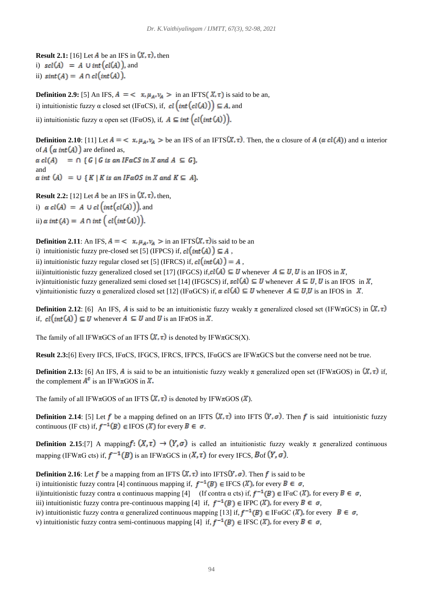**Result 2.1:** [16] Let  $\vec{A}$  be an IFS in  $(X, \tau)$ , then i)  $\mathfrak{sol}(A) = A \cup \mathfrak{int}(cl(A))$ , and ii)  $sint(A) = A \cap cl(int(A)).$ 

**Definition 2.9:** [5] An IFS,  $A = \langle x, \mu_A, \nu_A \rangle$  in an IFTS  $(X, \tau)$  is said to be an,

i) intuitionistic fuzzy  $\alpha$  closed set (IF $\alpha$ CS), if,  $cl(int(cl(A))] \subseteq A$ , and

ii) intuitionistic fuzzy  $\alpha$  open set (IF $\alpha$ OS), if,  $A \subseteq int (cl(int(A))$ ).

**Definition 2.10**: [11] Let  $A = \langle x, \mu_A, \nu_A \rangle$  be an IFS of an IFTS  $(X, \tau)$ . Then, the  $\alpha$  closure of  $A(\alpha \, cl(A))$  and  $\alpha$  interior of  $A(\alpha int(A))$  are defined as,

 $\alpha$  cl(A) =  $\cap$  { G | G is an IF  $\alpha$ CS in X and A  $\subseteq$  G, and  $\alpha$  int  $(A) = \cup \{K | K \text{ is an } I \in \mathcal{A} \}$ .

**Result 2.2:** [12] Let  $\vec{A}$  be an IFS in  $(\vec{X}, \tau)$ , then, i)  $\alpha$  cl(A) = A  $\cup$  cl(int(cl(A))), and ii)  $\alpha$  int (A) = A  $\cap$  int  $\left(\text{cl(int(A))}\right)$ .

**Definition 2.11**: An IFS,  $A = \langle x, \mu_A, \nu_A \rangle$  in an IFTS $(X, \tau)$  is said to be an

i) intuitionistic fuzzy pre-closed set [5] (IFPCS) if,  $cl(int(A)) \subseteq A$ ,

ii) intuitionistic fuzzy regular closed set [5] (IFRCS) if,  $cl(int(A)) = A$ ,

iii)intuitionistic fuzzy generalized closed set [17] (IFGCS) if,  $cl(A) \subseteq U$  whenever  $A \subseteq U, U$  is an IFOS in X, iv)intuitionistic fuzzy generalized semi closed set [14] (IFGSCS) if,  $\mathit{sel}(A) \subseteq U$  whenever  $A \subseteq U, U$  is an IFOS in X, v)intuitionistic fuzzy  $\alpha$  generalized closed set [12] (IF $\alpha$ GCS) if,  $\alpha$  cl(A)  $\subseteq U$  whenever  $A \subseteq U, U$  is an IFOS in X.

**Definition 2.12**: [6] An IFS, A is said to be an intuitionistic fuzzy weakly  $\pi$  generalized closed set (IFW $\pi$ GCS) in  $(X, \tau)$ if,  $cl(int(A)) \subseteq U$  whenever  $A \subseteq U$  and U is an IF $\pi$ OS in X.

The family of all IFW $\pi$ GCS of an IFTS  $(X, \tau)$  is denoted by IFW $\pi$ GCS(X).

**Result 2.3:**[6] Every IFCS, IFαCS, IFGCS, IFRCS, IFPCS, IFαGCS are IFWπGCS but the converse need not be true.

**Definition 2.13:** [6] An IFS, A is said to be an intuitionistic fuzzy weakly  $\pi$  generalized open set (IFW $\pi$ GOS) in  $(X, \tau)$  if, the complement  $A^c$  is an IFW $\pi$ GOS in  $\bar{X}$ .

The family of all IFW $\pi$ GOS of an IFTS  $(X, \tau)$  is denoted by IFW $\pi$ GOS  $(X)$ .

**Definition 2.14:** [5] Let f be a mapping defined on an IFTS  $(X, \tau)$  into IFTS  $(Y, \sigma)$ . Then f is said intuitionistic fuzzy continuous (IF cts) if,  $f^{-1}(B) \in \text{IFOS } (X)$  for every  $B \in \sigma$ .

**Definition 2.15**:[7] A mapping  $f: (X, \tau) \to (Y, \sigma)$  is called an intuitionistic fuzzy weakly  $\pi$  generalized continuous mapping (IFW $\pi$ G cts) if,  $f^{-1}(B)$  is an IFW $\pi$ GCS in  $(X, \tau)$  for every IFCS,  $B$ of  $(Y, \sigma)$ .

**Definition 2.16**: Let f be a mapping from an IFTS  $(X, \tau)$  into IFTS $(Y, \sigma)$ . Then f is said to be

i) intuitionistic fuzzy contra [4] continuous mapping if,  $f^{-1}(B) \in \text{IFCS } (X)$ , for every  $B \in \sigma$ ,

ii)intuitionistic fuzzy contra  $\alpha$  continuous mapping [4] (If contra  $\alpha$  cts) if,  $f^{-1}(B) \in \text{IF}\alpha\text{C}(\textit{X})$ , for every  $B \in \sigma$ ,

iii) intuitionistic fuzzy contra pre-continuous mapping [4] if,  $f^{-1}(B) \in \text{IFPC}(\mathbb{X})$ , for every  $B \in \sigma$ ,

- iv) intuitionistic fuzzy contra  $\alpha$  generalized continuous mapping [13] if,  $f^{-1}(B) \in \text{IF}\alpha \text{GC}(X)$ , for every  $B \in \sigma$ ,
- v) intuitionistic fuzzy contra semi-continuous mapping [4] if,  $f^{-1}(B) \in \text{IFSC}(\mathcal{X})$ , for every  $B \in \sigma$ ,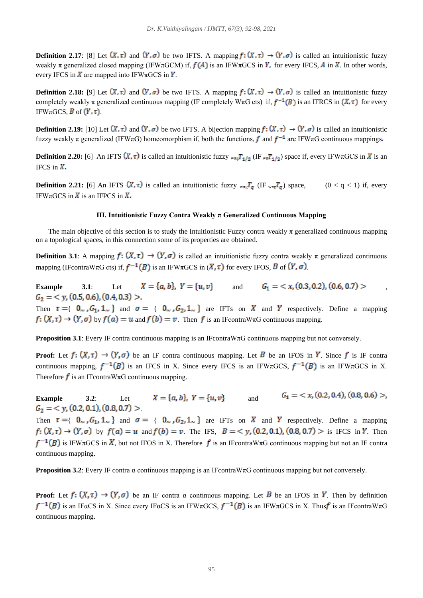**Definition 2.17**: [8] Let  $(X, \tau)$  and  $(Y, \sigma)$  be two IFTS. A mapping  $f: (X, \tau) \to (Y, \sigma)$  is called an intuitionistic fuzzy weakly  $\pi$  generalized closed mapping (IFW $\pi$ GCM) if,  $f(A)$  is an IFW $\pi$ GCS in  $\gamma$ , for every IFCS, A in X. In other words, every IFCS in  $\vec{X}$  are mapped into IFW $\pi$ GCS in  $\vec{Y}$ .

**Definition 2.18:** [9] Let  $(X, \tau)$  and  $(Y, \sigma)$  be two IFTS. A mapping  $f: (X, \tau) \to (Y, \sigma)$  is called an intuitionistic fuzzy completely weakly  $\pi$  generalized continuous mapping (IF completely W $\pi$ G cts) if,  $f^{-1}(B)$  is an IFRCS in  $(X, \tau)$  for every IFW $\pi$ GCS, **B** of  $(Y, \tau)$ .

**Definition 2.19:** [10] Let  $(X, \tau)$  and  $(Y, \sigma)$  be two IFTS. A bijection mapping  $f: (X, \tau) \to (Y, \sigma)$  is called an intuitionistic fuzzy weakly  $\pi$  generalized (IFW $\pi$ G) homeomorphism if, both the functions, f and  $f^{-1}$  are IFW $\pi$ G continuous mappings.

**Definition 2.20:** [6] An IFTS  $(X, \tau)$  is called an intuitionistic fuzzy  $_{w\pi g}T_{1/2}$  (IF  $_{w\pi}T_{1/2}$ ) space if, every IFW $\pi$ GCS in X is an IFCS in  $X$ .

**Definition 2.21:** [6] An IFTS  $(X, \tau)$  is called an intuitionistic fuzzy  $_{\text{wng}}T_q$  (IF  $_{\text{wng}}T_q$ ) space,  $(0 < q < 1)$  if, every IFW $\pi$ GCS in  $\vec{X}$  is an IFPCS in  $\vec{X}$ .

#### **III. Intuitionistic Fuzzy Contra Weakly π Generalized Continuous Mapping**

The main objective of this section is to study the Intuitionistic Fuzzy contra weakly  $\pi$  generalized continuous mapping on a topological spaces, in this connection some of its properties are obtained.

**Definition 3.1**: A mapping  $f: (X, \tau) \to (Y, \sigma)$  is called an intuitionistic fuzzy contra weakly  $\pi$  generalized continuous mapping (IFcontraWπG cts) if,  $f^{-1}(B)$  is an IFWπGCS in  $(X, \tau)$  for every IFOS, B of  $(Y, \sigma)$ .

**Example** 3.1: Let  $X = \{a, b\}$ ,  $Y = \{u, v\}$  and  $G_1 = \{x, (0.3, 0.2), (0.6, 0.7) >$  $G_2 = \langle y, (0.5, 0.6), (0.4, 0.3) \rangle.$ 

Then  $\tau = \{ 0_\sim, G_1, 1_\sim \}$  and  $\sigma = \{ 0_\sim, G_2, 1_\sim \}$  are IFTs on X and Y respectively. Define a mapping  $f: (X, \tau) \to (Y, \sigma)$  by  $f(a) = u$  and  $f(b) = v$ . Then f is an IFcontraW $\pi$ G continuous mapping.

**Proposition 3.1**: Every IF contra continuous mapping is an IFcontraW $\pi$ G continuous mapping but not conversely.

**Proof:** Let  $f: (X, \tau) \to (Y, \sigma)$  be an IF contra continuous mapping. Let B be an IFOS in Y. Since f is IF contra continuous mapping,  $f^{-1}(B)$  is an IFCS in X. Since every IFCS is an IFW $\pi$ GCS,  $f^{-1}(B)$  is an IFW $\pi$ GCS in X. Therefore  $\boldsymbol{f}$  is an IFcontraW $\pi$ G continuous mapping.

**Example** 3.2: Let  $X = \{a, b\}$ ,  $Y = \{u, v\}$  and  $G_1 = \langle x, (0.2, 0.4), (0.8, 0.6) \rangle$ ,  $G_2 = \langle y, (0.2, 0.1), (0.8, 0.7) \rangle$ 

Then  $\tau = \{ 0_\sim, G_1, 1_\sim \}$  and  $\sigma = \{ 0_\sim, G_2, 1_\sim \}$  are IFTs on X and Y respectively. Define a mapping  $f: (X, \tau) \to (Y, \sigma)$  by  $f(a) = u$  and  $f(b) = v$ . The IFS,  $B = \langle y, (0.2, 0.1), (0.8, 0.7) \rangle$  is IFCS in Y. Then  $f^{-1}(B)$  is IFW $\pi$ GCS in  $\vec{X}$ , but not IFOS in X. Therefore f is an IF contraW $\pi$ G continuous mapping but not an IF contra continuous mapping.

**Proposition 3.2**: Every IF contra  $\alpha$  continuous mapping is an IFcontraW $\pi$ G continuous mapping but not conversely.

**Proof:** Let  $f: (X, \tau) \to (Y, \sigma)$  be an IF contra  $\alpha$  continuous mapping. Let B be an IFOS in Y. Then by definition  $f^{-1}(B)$  is an IFαCS in X. Since every IFαCS is an IFWπGCS,  $f^{-1}(B)$  is an IFWπGCS in X. Thus is an IFcontraWπG continuous mapping.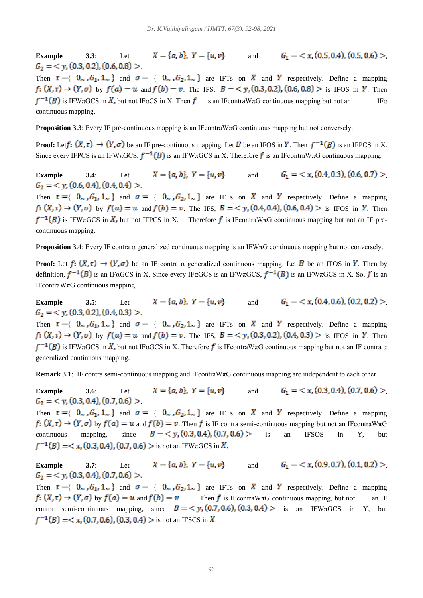**Example** 3.3: Let  $X = \{a, b\}$ ,  $Y = \{u, v\}$  and  $G_1 = \langle x, (0.5, 0.4), (0.5, 0.6) \rangle$  $G_2 = \langle y, (0.3, 0.2), (0.6, 0.8) \rangle$ 

Then  $\tau = \{ 0_\sim, G_1, 1_\sim \}$  and  $\sigma = \{ 0_\sim, G_2, 1_\sim \}$  are IFTs on X and Y respectively. Define a mapping  $f: (X, \tau) \to (Y, \sigma)$  by  $f(a) = u$  and  $f(b) = v$ . The IFS,  $B = \langle y, (0.3, 0.2), (0.6, 0.8) \rangle$  is IFOS in Y. Then  $f^{-1}(B)$  is IFW $\pi$ GCS in X, but not IFaCS in X. Then f is an IFcontraW $\pi$ G continuous mapping but not an IF $\alpha$ continuous mapping.

**Proposition 3.3**: Every IF pre-continuous mapping is an IFcontraWπG continuous mapping but not conversely.

**Proof:** Let  $f: (X, \tau) \to (Y, \sigma)$  be an IF pre-continuous mapping. Let B be an IFOS in Y. Then  $f^{-1}(B)$  is an IFPCS in X. Since every IFPCS is an IFW $\pi$ GCS,  $f^{-1}(B)$  is an IFW $\pi$ GCS in X. Therefore f is an IFcontraW $\pi$ G continuous mapping.

**Example** 3.4: Let  $X = \{a, b\}$ ,  $Y = \{u, v\}$  and  $G_1 = \langle x, (0.4, 0.3), (0.6, 0.7) \rangle$  $G_2 = \langle y, (0.6, 0.4), (0.4, 0.4) \rangle$ .

Then  $\tau = \{ 0, G_1, 1, \ldots \}$  and  $\sigma = \{ 0, G_2, 1, \ldots \}$  are IFTs on X and Y respectively. Define a mapping  $f: (X, \tau) \to (Y, \sigma)$  by  $f(a) = u$  and  $f(b) = v$ . The IFS,  $B = \langle y, (0.4, 0.4), (0.6, 0.4) \rangle$  is IFOS in Y. Then  $f^{-1}(B)$  is IFW $\pi$ GCS in X, but not IFPCS in X. Therefore f is IFcontraW $\pi$ G continuous mapping but not an IF precontinuous mapping.

**Proposition 3.4**: Every IF contra  $\alpha$  generalized continuous mapping is an IFW $\pi$ G continuous mapping but not conversely.

**Proof:** Let  $f: (X, \tau) \to (Y, \sigma)$  be an IF contra  $\alpha$  generalized continuous mapping. Let B be an IFOS in Y. Then by definition,  $f^{-1}(B)$  is an IFαGCS in X. Since every IFαGCS is an IFWπGCS,  $f^{-1}(B)$  is an IFWπGCS in X. So, f is an IFcontraWπG continuous mapping.

**Example** 3.5: Let  $X = \{a, b\}$ ,  $Y = \{u, v\}$  and  $G_1 = \langle x, (0.4, 0.6), (0.2, 0.2) \rangle$  $G_2 = \langle y, (0.3, 0.2), (0.4, 0.3) \rangle.$ 

Then  $\tau = \{ 0_\sim, G_1, 1_\sim \}$  and  $\sigma = \{ 0_\sim, G_2, 1_\sim \}$  are IFTs on X and Y respectively. Define a mapping  $f: (X, \tau) \to (Y, \sigma)$  by  $f(a) = u$  and  $f(b) = v$ . The IFS,  $B = \langle y, (0.3, 0.2), (0.4, 0.3) \rangle$  is IFOS in Y. Then  $f^{-1}(B)$  is IFW $\pi$ GCS in X, but not IFaGCS in X. Therefore f is IFcontraW $\pi$ G continuous mapping but not an IF contra  $\alpha$ generalized continuous mapping.

**Remark 3.1**: IF contra semi-continuous mapping and IFcontraWπG continuous mapping are independent to each other.

**Example** 3.6: Let  $X = \{a, b\}$ ,  $Y = \{u, v\}$  and  $G_1 = \langle x, (0.3, 0.4), (0.7, 0.6) \rangle$  $G_2 = \langle y, (0.3, 0.4), (0.7, 0.6) \rangle$ 

Then  $\tau = \{ 0_\sim, G_1, 1_\sim \}$  and  $\sigma = \{ 0_\sim, G_2, 1_\sim \}$  are IFTs on X and Y respectively. Define a mapping  $f: (X, \tau) \to (Y, \sigma)$  by  $f(\alpha) = u$  and  $f(b) = v$ . Then f is IF contra semi-continuous mapping but not an IF contraW $\pi$ G continuous mapping, since  $B = \langle y, (0.3, 0.4), (0.7, 0.6) \rangle$  is an IFSOS in Y, but  $f^{-1}(B) = \langle x, (0.3, 0.4), (0.7, 0.6) \rangle$  is not an IFW $\pi$ GCS in X.

**Example** 3.7: Let  $X = \{a, b\}$ ,  $Y = \{u, v\}$  and  $G_1 = \langle x, (0.9, 0.7), (0.1, 0.2) \rangle$  $G_2 = \langle y, (0.3, 0.4), (0.7, 0.6) \rangle.$ 

Then  $\tau = \{ 0_\sim, G_1, 1_\sim \}$  and  $\sigma = \{ 0_\sim, G_2, 1_\sim \}$  are IFTs on X and Y respectively. Define a mapping  $f: (X, \tau) \to (Y, \sigma)$  by  $f(\alpha) = u$  and  $f(b) = v$  Then f is IFcontraW $\pi$ G continuous mapping, but not an IF contra semi-continuous mapping, since  $B = \langle y, (0.7, 0.6), (0.3, 0.4) \rangle$  is an IFW $\pi$ GCS in Y, but  $f^{-1}(B) = \langle x, (0.7, 0.6), (0.3, 0.4) \rangle$  is not an IFSCS in X.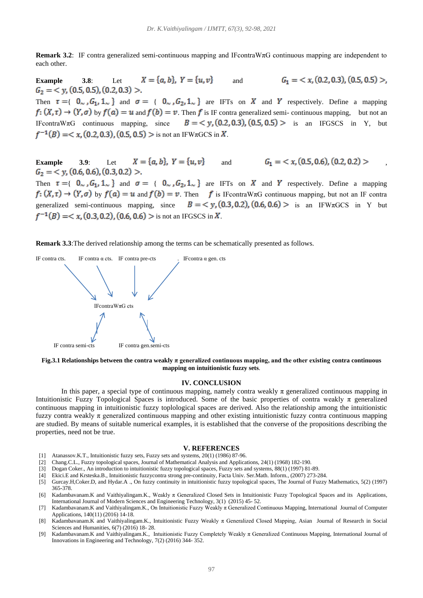**Remark 3.2**: IF contra generalized semi-continuous mapping and IFcontraWπG continuous mapping are independent to each other.

**Example** 3.8: Let  $X = \{a, b\}$ ,  $Y = \{u, v\}$  and  $G_2 = \langle y, (0.5, 0.5), (0.2, 0.3) \rangle$ .  $G_1 = \langle x, (0.2, 0.3), (0.5, 0.5) \rangle$ 

Then  $\tau = \{ 0, G_1, 1, \ldots \}$  and  $\sigma = \{ 0, G_2, 1, \ldots \}$  are IFTs on X and Y respectively. Define a mapping  $f: (X, \tau) \to (Y, \sigma)$  by  $f(\alpha) = u$  and  $f(b) = v$ . Then f is IF contra generalized semi- continuous mapping, but not an IFcontraWπG continuous mapping, since  $B = \langle y, (0.2, 0.3), (0.5, 0.5) \rangle$  is an IFGSCS in Y, but  $f^{-1}(B) = \langle x, (0.2, 0.3), (0.5, 0.5) \rangle$  is not an IFW $\pi$ GCS in X.

**Example** 3.9: Let  $X = \{a, b\}$ ,  $Y = \{u, v\}$  and  $G_1 = \langle x, (0.5, 0.6), (0.2, 0.2) \rangle$  $G_2 = \langle y, (0.6, 0.6), (0.3, 0.2) \rangle.$ 

Then  $\tau = \{ 0_\sim, G_1, 1_\sim \}$  and  $\sigma = \{ 0_\sim, G_2, 1_\sim \}$  are IFTs on X and Y respectively. Define a mapping  $f: (X, \tau) \to (Y, \sigma)$  by  $f(\alpha) = u$  and  $f(b) = v$ . Then  $f$  is IFcontraW $\pi$ G continuous mapping, but not an IF contra generalized semi-continuous mapping, since  $B = \langle y, (0.3, 0.2), (0.6, 0.6) \rangle$  is an IFW $\pi$ GCS in Y but  $f^{-1}(B) = \langle x, (0.3, 0.2), (0.6, 0.6) \rangle$  is not an IFGSCS in X.

**Remark 3.3**:The derived relationship among the terms can be schematically presented as follows.



**Fig.3.1 Relationships between the contra weakly**  $\pi$  **generalized continuous mapping, and the other existing contra continuous mapping on intuitionistic fuzzy sets**.

#### **IV. CONCLUSION**

In this paper, a special type of continuous mapping, namely contra weakly π generalized continuous mapping in Intuitionistic Fuzzy Topological Spaces is introduced. Some of the basic properties of contra weakly π generalized continuous mapping in intuitionistic fuzzy toplological spaces are derived. Also the relationship among the intuitionistic fuzzy contra weakly  $\pi$  generalized continuous mapping and other existing intuitionistic fuzzy contra continuous mapping are studied. By means of suitable numerical examples, it is established that the converse of the propositions describing the properties, need not be true.

#### **V. REFERENCES**

- [1] Atanassov.K.T., Intuitionistic fuzzy sets, Fuzzy sets and systems, 20(1) (1986) 87-96.
- [2] Chang.C.L., Fuzzy topological spaces, Journal of Mathematical Analysis and Applications, 24(1) (1968) 182-190.
- [3] Dogan Coker., An introduction to intuitionistic fuzzy topological spaces, Fuzzy sets and systems, 88(1) (1997) 81-89.
- [4] Ekici.E and Krsteska.B., Intuitionistic fuzzycontra strong pre-continuity, Facta Univ. Ser.Math. Inform., (2007) 273-284.
- [5] Gurcay.H,Coker.D, and Hydar.A ., On fuzzy continuity in intuitionistic fuzzy topological spaces, The Journal of Fuzzy Mathematics, 5(2) (1997) 365-378.
- [6] Kadambavanam.K and Vaithiyalingam.K., Weakly π Generalized Closed Sets in Intuitionistic Fuzzy Topological Spaces and its Applications, International Journal of Modern Sciences and Engineering Technology, 3(1) (2015) 45- 52.
- [7] Kadambavanam.K and Vaithiyalingam.K., On Intuitionistic Fuzzy Weakly π Generalized Continuous Mapping, International Journal of Computer Applications, 140(11) (2016) 14-18.
- [8] Kadambavanam.K and Vaithiyalingam.K., Intuitionistic Fuzzy Weakly π Generalized Closed Mapping, Asian Journal of Research in Social Sciences and Humanities, 6(7) (2016) 18- 28.
- [9] Kadambavanam.K and Vaithiyalingam.K., Intuitionistic Fuzzy Completely Weakly π Generalized Continuous Mapping, International Journal of Innovations in Engineering and Technology, 7(2) (2016) 344- 352.